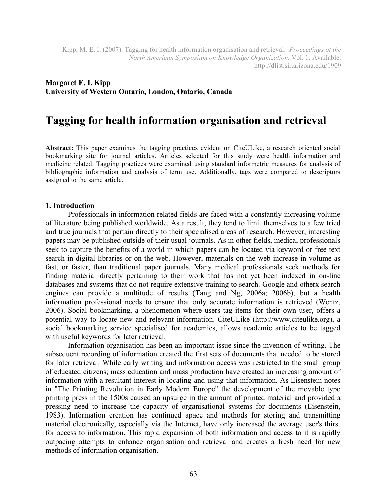#### **Margaret E. I. Kipp University of Western Ontario, London, Ontario, Canada**

# **Tagging for health information organisation and retrieval**

**Abstract:** This paper examines the tagging practices evident on CiteULike, a research oriented social bookmarking site for journal articles. Articles selected for this study were health information and medicine related. Tagging practices were examined using standard informetric measures for analysis of bibliographic information and analysis of term use. Additionally, tags were compared to descriptors assigned to the same article.

#### **1. Introduction**

Professionals in information related fields are faced with a constantly increasing volume of literature being published worldwide. As a result, they tend to limit themselves to a few tried and true journals that pertain directly to their specialised areas of research. However, interesting papers may be published outside of their usual journals. As in other fields, medical professionals seek to capture the benefits of a world in which papers can be located via keyword or free text search in digital libraries or on the web. However, materials on the web increase in volume as fast, or faster, than traditional paper journals. Many medical professionals seek methods for finding material directly pertaining to their work that has not yet been indexed in on-line databases and systems that do not require extensive training to search. Google and otherx search engines can provide a multitude of results (Tang and Ng, 2006a; 2006b), but a health information professional needs to ensure that only accurate information is retrieved (Wentz, 2006). Social bookmarking, a phenomenon where users tag items for their own user, offers a potential way to locate new and relevant information. CiteULike (http://www.citeulike.org), a social bookmarking service specialised for academics, allows academic articles to be tagged with useful keywords for later retrieval.

Information organisation has been an important issue since the invention of writing. The subsequent recording of information created the first sets of documents that needed to be stored for later retrieval. While early writing and information access was restricted to the small group of educated citizens; mass education and mass production have created an increasing amount of information with a resultant interest in locating and using that information. As Eisenstein notes in "The Printing Revolution in Early Modern Europe" the development of the movable type printing press in the 1500s caused an upsurge in the amount of printed material and provided a pressing need to increase the capacity of organisational systems for documents (Eisenstein, 1983). Information creation has continued apace and methods for storing and transmitting material electronically, especially via the Internet, have only increased the average user's thirst for access to information. This rapid expansion of both information and access to it is rapidly outpacing attempts to enhance organisation and retrieval and creates a fresh need for new methods of information organisation.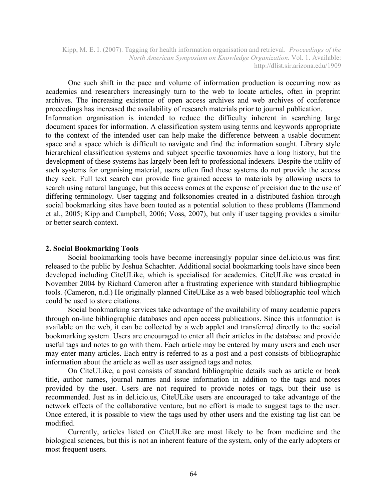One such shift in the pace and volume of information production is occurring now as academics and researchers increasingly turn to the web to locate articles, often in preprint archives. The increasing existence of open access archives and web archives of conference proceedings has increased the availability of research materials prior to journal publication. Information organisation is intended to reduce the difficulty inherent in searching large document spaces for information. A classification system using terms and keywords appropriate to the context of the intended user can help make the difference between a usable document space and a space which is difficult to navigate and find the information sought. Library style hierarchical classification systems and subject specific taxonomies have a long history, but the development of these systems has largely been left to professional indexers. Despite the utility of such systems for organising material, users often find these systems do not provide the access they seek. Full text search can provide fine grained access to materials by allowing users to search using natural language, but this access comes at the expense of precision due to the use of differing terminology. User tagging and folksonomies created in a distributed fashion through social bookmarking sites have been touted as a potential solution to these problems (Hammond et al., 2005; Kipp and Campbell, 2006; Voss, 2007), but only if user tagging provides a similar or better search context.

#### **2. Social Bookmarking Tools**

Social bookmarking tools have become increasingly popular since del.icio.us was first released to the public by Joshua Schachter. Additional social bookmarking tools have since been developed including CiteULike, which is specialised for academics. CiteULike was created in November 2004 by Richard Cameron after a frustrating experience with standard bibliographic tools. (Cameron, n.d.) He originally planned CiteULike as a web based bibliographic tool which could be used to store citations.

Social bookmarking services take advantage of the availability of many academic papers through on-line bibliographic databases and open access publications. Since this information is available on the web, it can be collected by a web applet and transferred directly to the social bookmarking system. Users are encouraged to enter all their articles in the database and provide useful tags and notes to go with them. Each article may be entered by many users and each user may enter many articles. Each entry is referred to as a post and a post consists of bibliographic information about the article as well as user assigned tags and notes.

On CiteULike, a post consists of standard bibliographic details such as article or book title, author names, journal names and issue information in addition to the tags and notes provided by the user. Users are not required to provide notes or tags, but their use is recommended. Just as in del.icio.us, CiteULike users are encouraged to take advantage of the network effects of the collaborative venture, but no effort is made to suggest tags to the user. Once entered, it is possible to view the tags used by other users and the existing tag list can be modified.

Currently, articles listed on CiteULike are most likely to be from medicine and the biological sciences, but this is not an inherent feature of the system, only of the early adopters or most frequent users.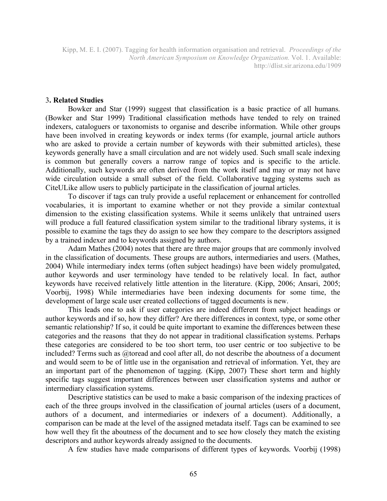#### 3**. Related Studies**

Bowker and Star (1999) suggest that classification is a basic practice of all humans. (Bowker and Star 1999) Traditional classification methods have tended to rely on trained indexers, cataloguers or taxonomists to organise and describe information. While other groups have been involved in creating keywords or index terms (for example, journal article authors who are asked to provide a certain number of keywords with their submitted articles), these keywords generally have a small circulation and are not widely used. Such small scale indexing is common but generally covers a narrow range of topics and is specific to the article. Additionally, such keywords are often derived from the work itself and may or may not have wide circulation outside a small subset of the field. Collaborative tagging systems such as CiteULike allow users to publicly participate in the classification of journal articles.

To discover if tags can truly provide a useful replacement or enhancement for controlled vocabularies, it is important to examine whether or not they provide a similar contextual dimension to the existing classification systems. While it seems unlikely that untrained users will produce a full featured classification system similar to the traditional library systems, it is possible to examine the tags they do assign to see how they compare to the descriptors assigned by a trained indexer and to keywords assigned by authors.

Adam Mathes (2004) notes that there are three major groups that are commonly involved in the classification of documents. These groups are authors, intermediaries and users. (Mathes, 2004) While intermediary index terms (often subject headings) have been widely promulgated, author keywords and user terminology have tended to be relatively local. In fact, author keywords have received relatively little attention in the literature. (Kipp, 2006; Ansari, 2005; Voorbij, 1998) While intermediaries have been indexing documents for some time, the development of large scale user created collections of tagged documents is new.

This leads one to ask if user categories are indeed different from subject headings or author keywords and if so, how they differ? Are there differences in context, type, or some other semantic relationship? If so, it could be quite important to examine the differences between these categories and the reasons that they do not appear in traditional classification systems. Perhaps these categories are considered to be too short term, too user centric or too subjective to be included? Terms such as @toread and cool after all, do not describe the aboutness of a document and would seem to be of little use in the organisation and retrieval of information. Yet, they are an important part of the phenomenon of tagging. (Kipp, 2007) These short term and highly specific tags suggest important differences between user classification systems and author or intermediary classification systems.

Descriptive statistics can be used to make a basic comparison of the indexing practices of each of the three groups involved in the classification of journal articles (users of a document, authors of a document, and intermediaries or indexers of a document). Additionally, a comparison can be made at the level of the assigned metadata itself. Tags can be examined to see how well they fit the aboutness of the document and to see how closely they match the existing descriptors and author keywords already assigned to the documents.

A few studies have made comparisons of different types of keywords. Voorbij (1998)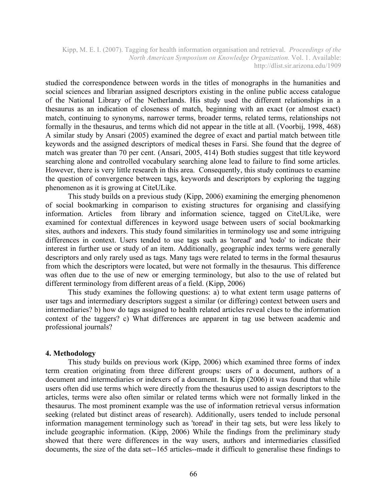studied the correspondence between words in the titles of monographs in the humanities and social sciences and librarian assigned descriptors existing in the online public access catalogue of the National Library of the Netherlands. His study used the different relationships in a thesaurus as an indication of closeness of match, beginning with an exact (or almost exact) match, continuing to synonyms, narrower terms, broader terms, related terms, relationships not formally in the thesaurus, and terms which did not appear in the title at all. (Voorbij, 1998, 468) A similar study by Ansari (2005) examined the degree of exact and partial match between title keywords and the assigned descriptors of medical theses in Farsi. She found that the degree of match was greater than 70 per cent. (Ansari, 2005, 414) Both studies suggest that title keyword searching alone and controlled vocabulary searching alone lead to failure to find some articles. However, there is very little research in this area. Consequently, this study continues to examine the question of convergence between tags, keywords and descriptors by exploring the tagging phenomenon as it is growing at CiteULike.

This study builds on a previous study (Kipp, 2006) examining the emerging phenomenon of social bookmarking in comparison to existing structures for organising and classifying information. Articles from library and information science, tagged on CiteULike, were examined for contextual differences in keyword usage between users of social bookmarking sites, authors and indexers. This study found similarities in terminology use and some intriguing differences in context. Users tended to use tags such as 'toread' and 'todo' to indicate their interest in further use or study of an item. Additionally, geographic index terms were generally descriptors and only rarely used as tags. Many tags were related to terms in the formal thesaurus from which the descriptors were located, but were not formally in the thesaurus. This difference was often due to the use of new or emerging terminology, but also to the use of related but different terminology from different areas of a field. (Kipp, 2006)

This study examines the following questions: a) to what extent term usage patterns of user tags and intermediary descriptors suggest a similar (or differing) context between users and intermediaries? b) how do tags assigned to health related articles reveal clues to the information context of the taggers? c) What differences are apparent in tag use between academic and professional journals?

#### **4. Methodology**

This study builds on previous work (Kipp, 2006) which examined three forms of index term creation originating from three different groups: users of a document, authors of a document and intermediaries or indexers of a document. In Kipp (2006) it was found that while users often did use terms which were directly from the thesaurus used to assign descriptors to the articles, terms were also often similar or related terms which were not formally linked in the thesaurus. The most prominent example was the use of information retrieval versus information seeking (related but distinct areas of research). Additionally, users tended to include personal information management terminology such as 'toread' in their tag sets, but were less likely to include geographic information. (Kipp, 2006) While the findings from the preliminary study showed that there were differences in the way users, authors and intermediaries classified documents, the size of the data set--165 articles--made it difficult to generalise these findings to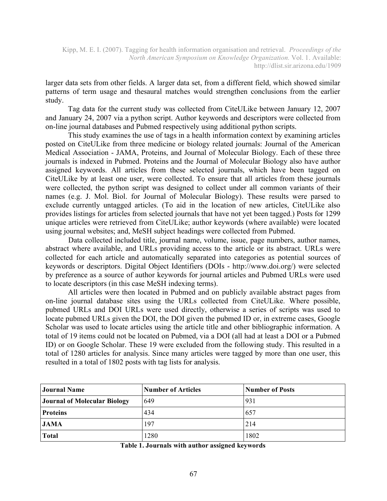larger data sets from other fields. A larger data set, from a different field, which showed similar patterns of term usage and thesaural matches would strengthen conclusions from the earlier study.

Tag data for the current study was collected from CiteULike between January 12, 2007 and January 24, 2007 via a python script. Author keywords and descriptors were collected from on-line journal databases and Pubmed respectively using additional python scripts.

This study examines the use of tags in a health information context by examining articles posted on CiteULike from three medicine or biology related journals: Journal of the American Medical Association - JAMA, Proteins, and Journal of Molecular Biology. Each of these three journals is indexed in Pubmed. Proteins and the Journal of Molecular Biology also have author assigned keywords. All articles from these selected journals, which have been tagged on CiteULike by at least one user, were collected. To ensure that all articles from these journals were collected, the python script was designed to collect under all common variants of their names (e.g. J. Mol. Biol. for Journal of Molecular Biology). These results were parsed to exclude currently untagged articles. (To aid in the location of new articles, CiteULike also provides listings for articles from selected journals that have not yet been tagged.) Posts for 1299 unique articles were retrieved from CiteULike; author keywords (where available) were located using journal websites; and, MeSH subject headings were collected from Pubmed.

Data collected included title, journal name, volume, issue, page numbers, author names, abstract where available, and URLs providing access to the article or its abstract. URLs were collected for each article and automatically separated into categories as potential sources of keywords or descriptors. Digital Object Identifiers (DOIs - http://www.doi.org/) were selected by preference as a source of author keywords for journal articles and Pubmed URLs were used to locate descriptors (in this case MeSH indexing terms).

All articles were then located in Pubmed and on publicly available abstract pages from on-line journal database sites using the URLs collected from CiteULike. Where possible, pubmed URLs and DOI URLs were used directly, otherwise a series of scripts was used to locate pubmed URLs given the DOI, the DOI given the pubmed ID or, in extreme cases, Google Scholar was used to locate articles using the article title and other bibliographic information. A total of 19 items could not be located on Pubmed, via a DOI (all had at least a DOI or a Pubmed ID) or on Google Scholar. These 19 were excluded from the following study. This resulted in a total of 1280 articles for analysis. Since many articles were tagged by more than one user, this resulted in a total of 1802 posts with tag lists for analysis.

| <b>Journal Name</b>                 | <b>Number of Articles</b> | <b>Number of Posts</b> |
|-------------------------------------|---------------------------|------------------------|
| <b>Journal of Molecular Biology</b> | 649                       | 931                    |
| <b>Proteins</b>                     | 434                       | 657                    |
| <b>JAMA</b>                         | 197                       | 214                    |
| Total                               | 1280                      | 1802                   |

**Table 1. Journals with author assigned keywords**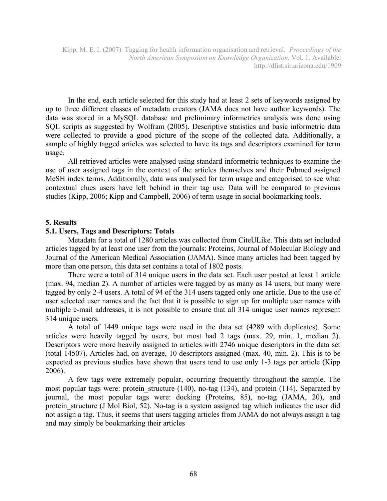In the end, each article selected for this study had at least 2 sets of keywords assigned by up to three different classes of metadata creators (JAMA does not have author keywords). The data was stored in a MySQL database and preliminary informetrics analysis was done using SQL scripts as suggested by Wolfram (2005). Descriptive statistics and basic informetric data were collected to provide a good picture of the scope of the collected data. Additionally, a sample of highly tagged articles was selected to have its tags and descriptors examined for term usage.

All retrieved articles were analysed using standard informetric techniques to examine the use of user assigned tags in the context of the articles themselves and their Pubmed assigned MeSH index terms. Additionally, data was analysed for term usage and categorised to see what contextual clues users have left behind in their tag use. Data will be compared to previous studies (Kipp, 2006; Kipp and Campbell, 2006) of term usage in social bookmarking tools.

#### **5. Results**

#### **5.1. Users, Tags and Descriptors: Totals**

Metadata for a total of 1280 articles was collected from CiteULike. This data set included articles tagged by at least one user from the journals: Proteins, Journal of Molecular Biology and Journal of the American Medical Association (JAMA). Since many articles had been tagged by more than one person, this data set contains a total of 1802 posts.

There were a total of 314 unique users in the data set. Each user posted at least 1 article (max. 94, median 2). A number of articles were tagged by as many as 14 users, but many were tagged by only 2-4 users. A total of 94 of the 314 users tagged only one article. Due to the use of user selected user names and the fact that it is possible to sign up for multiple user names with multiple e-mail addresses, it is not possible to ensure that all 314 unique user names represent 314 unique users.

A total of 1449 unique tags were used in the data set (4289 with duplicates). Some articles were heavily tagged by users, but most had 2 tags (max. 29, min. 1, median 2). Descriptors were more heavily assigned to articles with 2746 unique descriptors in the data set (total 14507). Articles had, on average, 10 descriptors assigned (max. 40, min. 2). This is to be expected as previous studies have shown that users tend to use only 1-3 tags per article (Kipp 2006).

A few tags were extremely popular, occurring frequently throughout the sample. The most popular tags were: protein structure (140), no-tag (134), and protein (114). Separated by journal, the most popular tags were: docking (Proteins, 85), no-tag (JAMA, 20), and protein structure (J Mol Biol, 52). No-tag is a system assigned tag which indicates the user did not assign a tag. Thus, it seems that users tagging articles from JAMA do not always assign a tag and may simply be bookmarking their articles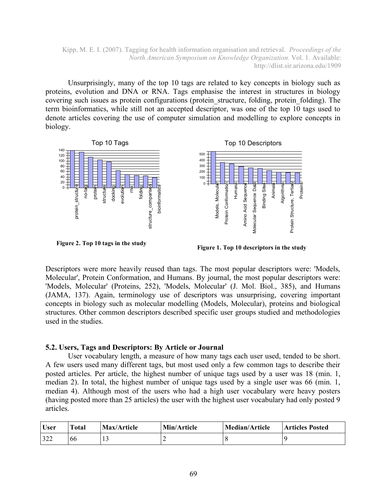Unsurprisingly, many of the top 10 tags are related to key concepts in biology such as proteins, evolution and DNA or RNA. Tags emphasise the interest in structures in biology covering such issues as protein configurations (protein structure, folding, protein folding). The term bioinformatics, while still not an accepted descriptor, was one of the top 10 tags used to denote articles covering the use of computer simulation and modelling to explore concepts in biology.



**Figure 2. Top 10 tags in the study**

**Figure 1. Top 10 descriptors in the study**

Descriptors were more heavily reused than tags. The most popular descriptors were: 'Models, Molecular', Protein Conformation, and Humans. By journal, the most popular descriptors were: 'Models, Molecular' (Proteins, 252), 'Models, Molecular' (J. Mol. Biol., 385), and Humans (JAMA, 137). Again, terminology use of descriptors was unsurprising, covering important concepts in biology such as molecular modelling (Models, Molecular), proteins and biological structures. Other common descriptors described specific user groups studied and methodologies used in the studies.

### **5.2. Users, Tags and Descriptors: By Article or Journal**

User vocabulary length, a measure of how many tags each user used, tended to be short. A few users used many different tags, but most used only a few common tags to describe their posted articles. Per article, the highest number of unique tags used by a user was 18 (min. 1, median 2). In total, the highest number of unique tags used by a single user was 66 (min. 1, median 4). Although most of the users who had a high user vocabulary were heavy posters (having posted more than 25 articles) the user with the highest user vocabulary had only posted 9 articles.

| <b>User</b> | Total | Max/Article | Min/Article | <b>Median/Article</b> | Articles Posted |
|-------------|-------|-------------|-------------|-----------------------|-----------------|
| 322         | bb    |             |             |                       |                 |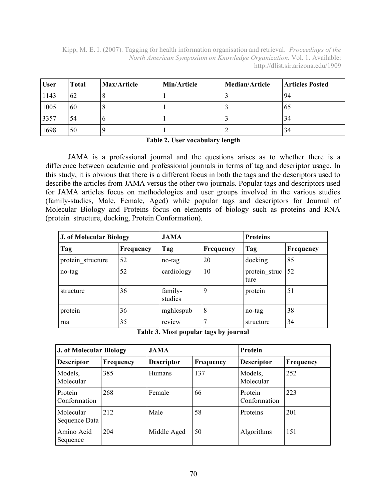| <b>User</b> | Total | Max/Article | Min/Article | <b>Median/Article</b> | <b>Articles Posted</b> |
|-------------|-------|-------------|-------------|-----------------------|------------------------|
| 1143        | 62    |             |             |                       | 94                     |
| 1005        | 60    |             |             |                       | 65                     |
| 3357        | 54    | o           |             |                       | 34                     |
| 1698        | 50    |             |             |                       | 34                     |

#### **Table 2. User vocabulary length**

JAMA is a professional journal and the questions arises as to whether there is a difference between academic and professional journals in terms of tag and descriptor usage. In this study, it is obvious that there is a different focus in both the tags and the descriptors used to describe the articles from JAMA versus the other two journals. Popular tags and descriptors used for JAMA articles focus on methodologies and user groups involved in the various studies (family-studies, Male, Female, Aged) while popular tags and descriptors for Journal of Molecular Biology and Proteins focus on elements of biology such as proteins and RNA (protein\_structure, docking, Protein Conformation).

| <b>J. of Molecular Biology</b> |           | <b>JAMA</b>        |           | <b>Proteins</b>       |           |
|--------------------------------|-----------|--------------------|-----------|-----------------------|-----------|
| Tag                            | Frequency | Tag                | Frequency | Tag                   | Frequency |
| protein structure              | 52        | no-tag             | 20        | docking               | 85        |
| no-tag                         | 52        | cardiology         | 10        | protein struc<br>ture | 52        |
| structure                      | 36        | family-<br>studies | 9         | protein               | 51        |
| protein                        | 36        | mghlcspub          | 8         | no-tag                | 38        |
| rna                            | 35        | review             | 7         | structure             | 34        |

**Table 3. Most popular tags by journal**

| <b>J. of Molecular Biology</b> |                  | <b>JAMA</b>       |           | Protein                 |           |
|--------------------------------|------------------|-------------------|-----------|-------------------------|-----------|
| <b>Descriptor</b>              | <b>Frequency</b> | <b>Descriptor</b> | Frequency | <b>Descriptor</b>       | Frequency |
| Models,<br>Molecular           | 385              | <b>Humans</b>     | 137       | Models,<br>Molecular    | 252       |
| Protein<br>Conformation        | 268              | Female            | 66        | Protein<br>Conformation | 223       |
| Molecular<br>Sequence Data     | 212              | Male              | 58        | Proteins                | 201       |
| Amino Acid<br>Sequence         | 204              | Middle Aged       | 50        | Algorithms              | 151       |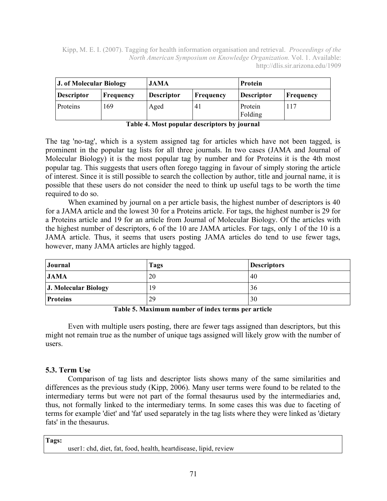| <b>J. of Molecular Biology</b> |                  | <b>JAMA</b>       |           | Protein            |                  |
|--------------------------------|------------------|-------------------|-----------|--------------------|------------------|
| <b>Descriptor</b>              | <b>Frequency</b> | <b>Descriptor</b> | Frequency | <b>Descriptor</b>  | <b>Frequency</b> |
| Proteins                       | 169              | Aged              |           | Protein<br>Folding | 117              |

**Table 4. Most popular descriptors by journal**

The tag 'no-tag', which is a system assigned tag for articles which have not been tagged, is prominent in the popular tag lists for all three journals. In two cases (JAMA and Journal of Molecular Biology) it is the most popular tag by number and for Proteins it is the 4th most popular tag. This suggests that users often forego tagging in favour of simply storing the article of interest. Since it is still possible to search the collection by author, title and journal name, it is possible that these users do not consider the need to think up useful tags to be worth the time required to do so.

When examined by journal on a per article basis, the highest number of descriptors is 40 for a JAMA article and the lowest 30 for a Proteins article. For tags, the highest number is 29 for a Proteins article and 19 for an article from Journal of Molecular Biology. Of the articles with the highest number of descriptors, 6 of the 10 are JAMA articles. For tags, only 1 of the 10 is a JAMA article. Thus, it seems that users posting JAMA articles do tend to use fewer tags, however, many JAMA articles are highly tagged.

| Journal              | <b>Tags</b> | <b>Descriptors</b> |
|----------------------|-------------|--------------------|
| <b>JAMA</b>          | 20          | 40                 |
| J. Molecular Biology | 19          | 36                 |
| <b>Proteins</b>      | 29          | 30                 |

**Table 5. Maximum number of index terms per article**

Even with multiple users posting, there are fewer tags assigned than descriptors, but this might not remain true as the number of unique tags assigned will likely grow with the number of users.

## **5.3. Term Use**

Comparison of tag lists and descriptor lists shows many of the same similarities and differences as the previous study (Kipp, 2006). Many user terms were found to be related to the intermediary terms but were not part of the formal thesaurus used by the intermediaries and, thus, not formally linked to the intermediary terms. In some cases this was due to faceting of terms for example 'diet' and 'fat' used separately in the tag lists where they were linked as 'dietary fats' in the thesaurus.

**Tags:**

user1: chd, diet, fat, food, health, heartdisease, lipid, review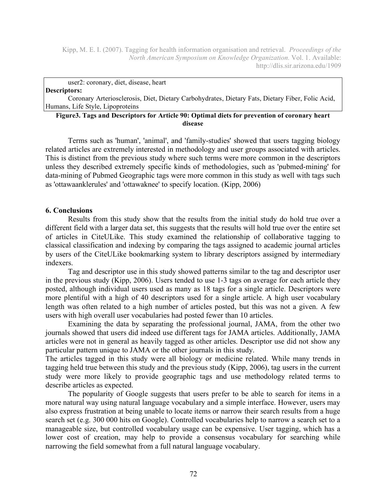user2: coronary, diet, disease, heart **Descriptors:**

Coronary Arteriosclerosis, Diet, Dietary Carbohydrates, Dietary Fats, Dietary Fiber, Folic Acid, Humans, Life Style, Lipoproteins

#### **Figure3. Tags and Descriptors for Article 90: Optimal diets for prevention of coronary heart disease**

Terms such as 'human', 'animal', and 'family-studies' showed that users tagging biology related articles are extremely interested in methodology and user groups associated with articles. This is distinct from the previous study where such terms were more common in the descriptors unless they described extremely specific kinds of methodologies, such as 'pubmed-mining' for data-mining of Pubmed Geographic tags were more common in this study as well with tags such as 'ottawaanklerules' and 'ottawaknee' to specify location. (Kipp, 2006)

#### **6. Conclusions**

Results from this study show that the results from the initial study do hold true over a different field with a larger data set, this suggests that the results will hold true over the entire set of articles in CiteULike. This study examined the relationship of collaborative tagging to classical classification and indexing by comparing the tags assigned to academic journal articles by users of the CiteULike bookmarking system to library descriptors assigned by intermediary indexers.

Tag and descriptor use in this study showed patterns similar to the tag and descriptor user in the previous study (Kipp, 2006). Users tended to use 1-3 tags on average for each article they posted, although individual users used as many as 18 tags for a single article. Descriptors were more plentiful with a high of 40 descriptors used for a single article. A high user vocabulary length was often related to a high number of articles posted, but this was not a given. A few users with high overall user vocabularies had posted fewer than 10 articles.

Examining the data by separating the professional journal, JAMA, from the other two journals showed that users did indeed use different tags for JAMA articles. Additionally, JAMA articles were not in general as heavily tagged as other articles. Descriptor use did not show any particular pattern unique to JAMA or the other journals in this study.

The articles tagged in this study were all biology or medicine related. While many trends in tagging held true between this study and the previous study (Kipp, 2006), tag users in the current study were more likely to provide geographic tags and use methodology related terms to describe articles as expected.

The popularity of Google suggests that users prefer to be able to search for items in a more natural way using natural language vocabulary and a simple interface. However, users may also express frustration at being unable to locate items or narrow their search results from a huge search set (e.g. 300 000 hits on Google). Controlled vocabularies help to narrow a search set to a manageable size, but controlled vocabulary usage can be expensive. User tagging, which has a lower cost of creation, may help to provide a consensus vocabulary for searching while narrowing the field somewhat from a full natural language vocabulary.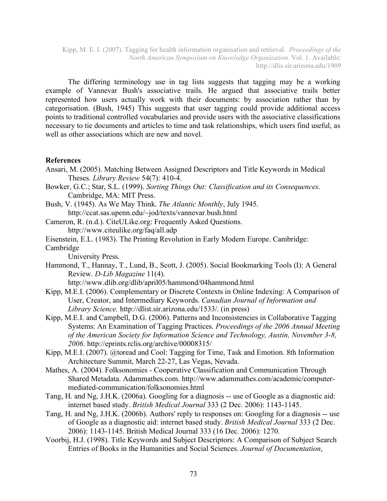The differing terminology use in tag lists suggests that tagging may be a working example of Vannevar Bush's associative trails. He argued that associative trails better represented how users actually work with their documents: by association rather than by categorisation. (Bush, 1945) This suggests that user tagging could provide additional access points to traditional controlled vocabularies and provide users with the associative classifications necessary to tie documents and articles to time and task relationships, which users find useful, as well as other associations which are new and novel.

#### **References**

- Ansari, M. (2005). Matching Between Assigned Descriptors and Title Keywords in Medical Theses. *Library Review* 54(7): 410-4.
- Bowker, G.C.; Star, S.L. (1999). *Sorting Things Out: Classification and its Consequences*. Cambridge, MA: MIT Press.
- Bush, V. (1945). As We May Think. *The Atlantic Monthly*, July 1945. http://ccat.sas.upenn.edu/~jod/texts/vannevar.bush.html
- Cameron, R. (n.d.). CiteULike.org: Frequently Asked Questions. http://www.citeulike.org/faq/all.adp

Eisenstein, E.L. (1983). The Printing Revolution in Early Modern Europe. Cambridge:

Cambridge University Press.

Hammond, T., Hannay, T., Lund, B., Scott, J. (2005). Social Bookmarking Tools (I): A General Review. *D-Lib Magazine* 11(4).

http://www.dlib.org/dlib/april05/hammond/04hammond.html

- Kipp, M.E.I. (2006). Complementary or Discrete Contexts in Online Indexing: A Comparison of User, Creator, and Intermediary Keywords. *Canadian Journal of Information and Library Science.* http://dlist.sir.arizona.edu/1533/. (in press)
- Kipp, M.E.I. and Campbell, D.G. (2006). Patterns and Inconsistencies in Collaborative Tagging Systems: An Examination of Tagging Practices. *Proceedings of the 2006 Annual Meeting of the American Society for Information Science and Technology, Austin, November 3-8, 2006*. http://eprints.rclis.org/archive/00008315/

Kipp, M.E.I. (2007). @toread and Cool: Tagging for Time, Task and Emotion. 8th Information Architecture Summit, March 22-27, Las Vegas, Nevada.

- Mathes, A. (2004). Folksonomies Cooperative Classification and Communication Through Shared Metadata. Adammathes.com. http://www.adammathes.com/academic/computermediated-communication/folksonomies.html
- Tang, H. and Ng, J.H.K. (2006a). Googling for a diagnosis -- use of Google as a diagnostic aid: internet based study. *British Medical Journal* 333 (2 Dec. 2006): 1143-1145.
- Tang, H. and Ng, J.H.K. (2006b). Authors' reply to responses on: Googling for a diagnosis -- use of Google as a diagnostic aid: internet based study. *British Medical Journal* 333 (2 Dec. 2006): 1143-1145. British Medical Journal 333 (16 Dec. 2006): 1270.
- Voorbij, H.J. (1998). Title Keywords and Subject Descriptors: A Comparison of Subject Search Entries of Books in the Humanities and Social Sciences. *Journal of Documentation*,